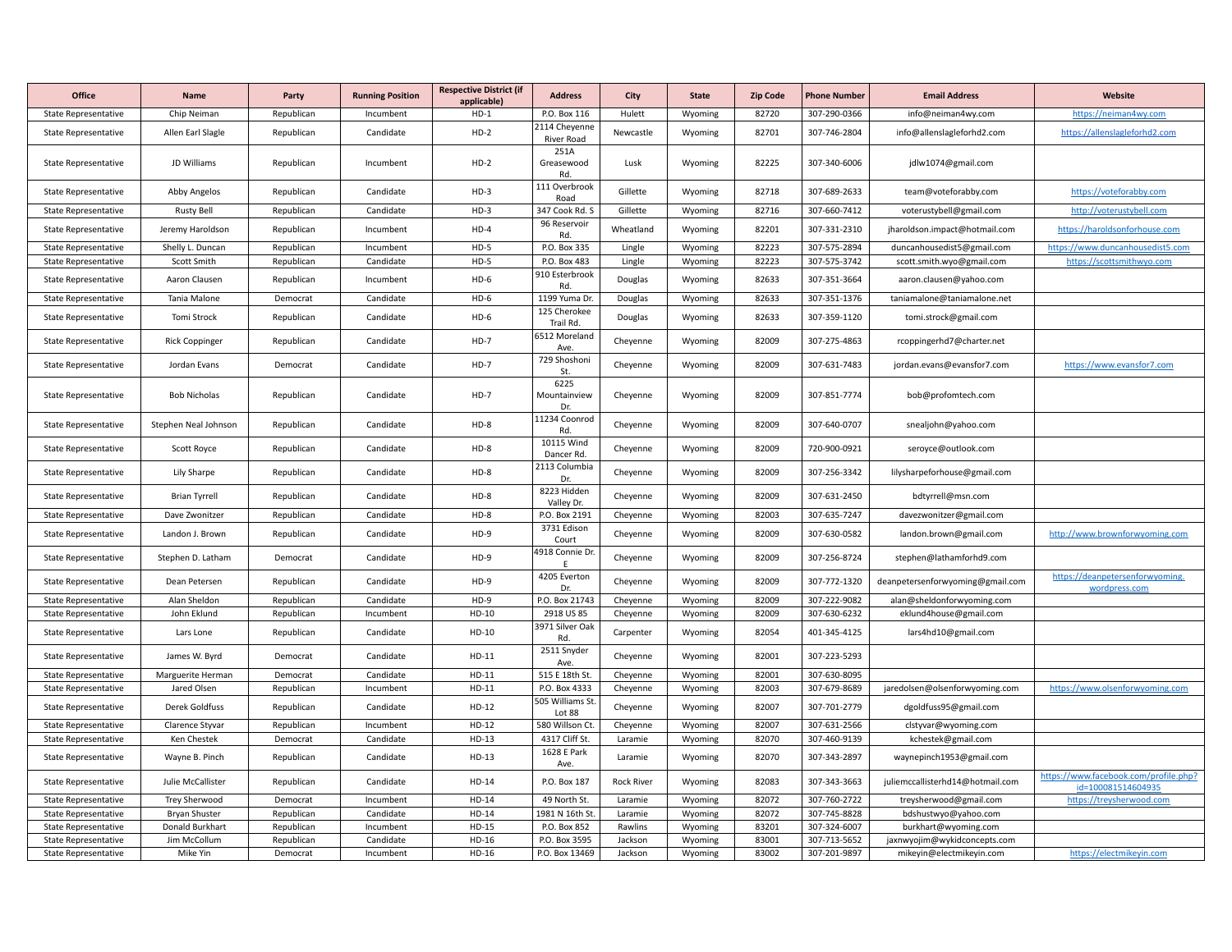| <b>Office</b>               | Name                  | Party      | <b>Running Position</b> | <b>Respective District (if</b><br>applicable) | <b>Address</b>              | City              | <b>State</b> | <b>Zip Code</b> | <b>Phone Number</b> | <b>Email Address</b>             | Website                                                     |
|-----------------------------|-----------------------|------------|-------------------------|-----------------------------------------------|-----------------------------|-------------------|--------------|-----------------|---------------------|----------------------------------|-------------------------------------------------------------|
| <b>State Representative</b> | Chip Neiman           | Republican | Incumbent               | $HD-1$                                        | P.O. Box 116                | Hulett            | Wyoming      | 82720           | 307-290-0366        | info@neiman4wy.com               | https://neiman4wy.com                                       |
| State Representative        | Allen Earl Slagle     | Republican | Candidate               | $HD-2$                                        | 2114 Cheyenne<br>River Road | Newcastle         | Wyoming      | 82701           | 307-746-2804        | info@allenslagleforhd2.com       | https://allenslagleforhd2.com                               |
| <b>State Representative</b> | JD Williams           | Republican | Incumbent               | $HD-2$                                        | 251A<br>Greasewood<br>Rd.   | Lusk              | Wyoming      | 82225           | 307-340-6006        | jdlw1074@gmail.com               |                                                             |
| <b>State Representative</b> | Abby Angelos          | Republican | Candidate               | $HD-3$                                        | 111 Overbrook<br>Road       | Gillette          | Wyoming      | 82718           | 307-689-2633        | team@voteforabby.com             | https://voteforabby.com                                     |
| <b>State Representative</b> | Rusty Bell            | Republican | Candidate               | $HD-3$                                        | 347 Cook Rd. S              | Gillette          | Wyoming      | 82716           | 307-660-7412        | voterustybell@gmail.com          | http://voterustybell.com                                    |
| State Representative        | Jeremy Haroldson      | Republican | Incumbent               | $HD-4$                                        | 96 Reservoir<br>Rd.         | Wheatland         | Wyoming      | 82201           | 307-331-2310        | jharoldson.impact@hotmail.com    | https://haroldsonforhouse.com                               |
| <b>State Representative</b> | Shelly L. Duncan      | Republican | Incumbent               | $HD-5$                                        | P.O. Box 335                | Lingle            | Wyoming      | 82223           | 307-575-2894        | duncanhousedist5@gmail.com       | https://www.duncanhousedist5.com                            |
| <b>State Representative</b> | Scott Smith           | Republican | Candidate               | $HD-5$                                        | P.O. Box 483                | Lingle            | Wyoming      | 82223           | 307-575-3742        | scott.smith.wyo@gmail.com        | https://scottsmithwyo.com                                   |
| <b>State Representative</b> | Aaron Clausen         | Republican | Incumbent               | $HD-6$                                        | 910 Esterbrook<br>Rd.       | Douglas           | Wyoming      | 82633           | 307-351-3664        | aaron.clausen@yahoo.com          |                                                             |
| <b>State Representative</b> | Tania Malone          | Democrat   | Candidate               | $HD-6$                                        | 1199 Yuma Dr.               | Douglas           | Wyoming      | 82633           | 307-351-1376        | taniamalone@taniamalone.net      |                                                             |
| <b>State Representative</b> | Tomi Strock           | Republican | Candidate               | $HD-6$                                        | 125 Cherokee<br>Trail Rd.   | Douglas           | Wyoming      | 82633           | 307-359-1120        | tomi.strock@gmail.com            |                                                             |
| State Representative        | <b>Rick Coppinger</b> | Republican | Candidate               | $HD-7$                                        | 6512 Moreland<br>Ave.       | Cheyenne          | Wyoming      | 82009           | 307-275-4863        | rcoppingerhd7@charter.net        |                                                             |
| <b>State Representative</b> | Jordan Evans          | Democrat   | Candidate               | $HD-7$                                        | 729 Shoshoni<br>St.         | Cheyenne          | Wyoming      | 82009           | 307-631-7483        | jordan.evans@evansfor7.com       | https://www.evansfor7.com                                   |
| <b>State Representative</b> | <b>Bob Nicholas</b>   | Republican | Candidate               | $HD-7$                                        | 6225<br>Mountainview<br>Dr. | Cheyenne          | Wyoming      | 82009           | 307-851-7774        | bob@profomtech.com               |                                                             |
| State Representative        | Stephen Neal Johnson  | Republican | Candidate               | $HD-8$                                        | 11234 Coonrod<br>Rd.        | Cheyenne          | Wyoming      | 82009           | 307-640-0707        | snealjohn@yahoo.com              |                                                             |
| <b>State Representative</b> | Scott Royce           | Republican | Candidate               | $HD-8$                                        | 10115 Wind<br>Dancer Rd.    | Cheyenne          | Wyoming      | 82009           | 720-900-0921        | seroyce@outlook.com              |                                                             |
| <b>State Representative</b> | Lily Sharpe           | Republican | Candidate               | $HD-8$                                        | 2113 Columbia<br>Dr.        | Cheyenne          | Wyoming      | 82009           | 307-256-3342        | lilysharpeforhouse@gmail.com     |                                                             |
| <b>State Representative</b> | <b>Brian Tyrrell</b>  | Republican | Candidate               | $HD-8$                                        | 8223 Hidden<br>Valley Dr.   | Cheyenne          | Wyoming      | 82009           | 307-631-2450        | bdtyrrell@msn.com                |                                                             |
| <b>State Representative</b> | Dave Zwonitzer        | Republican | Candidate               | $HD-8$                                        | P.O. Box 2191               | Cheyenne          | Wyoming      | 82003           | 307-635-7247        | davezwonitzer@gmail.com          |                                                             |
| <b>State Representative</b> | Landon J. Brown       | Republican | Candidate               | $HD-9$                                        | 3731 Edison<br>Court        | Cheyenne          | Wyoming      | 82009           | 307-630-0582        | landon.brown@gmail.com           | http://www.brownforwyoming.com                              |
| State Representative        | Stephen D. Latham     | Democrat   | Candidate               | $HD-9$                                        | 4918 Connie Dr.<br>F        | Cheyenne          | Wyoming      | 82009           | 307-256-8724        | stephen@lathamforhd9.com         |                                                             |
| <b>State Representative</b> | Dean Petersen         | Republican | Candidate               | $HD-9$                                        | 4205 Everton<br>Dr.         | Cheyenne          | Wyoming      | 82009           | 307-772-1320        | deanpetersenforwyoming@gmail.com | https://deanpetersenforwyoming.<br>wordpress.com            |
| <b>State Representative</b> | Alan Sheldon          | Republican | Candidate               | $HD-9$                                        | P.O. Box 21743              | Cheyenne          | Wyoming      | 82009           | 307-222-9082        | alan@sheldonforwyoming.com       |                                                             |
| <b>State Representative</b> | John Eklund           | Republican | Incumbent               | HD-10                                         | 2918 US 85                  | Cheyenne          | Wyoming      | 82009           | 307-630-6232        | eklund4house@gmail.com           |                                                             |
| State Representative        | Lars Lone             | Republican | Candidate               | $HD-10$                                       | 3971 Silver Oak<br>Rd.      | Carpenter         | Wyoming      | 82054           | 401-345-4125        | lars4hd10@gmail.com              |                                                             |
| State Representative        | James W. Byrd         | Democrat   | Candidate               | $HD-11$                                       | 2511 Snyder<br>Ave.         | Cheyenne          | Wyoming      | 82001           | 307-223-5293        |                                  |                                                             |
| <b>State Representative</b> | Marguerite Herman     | Democrat   | Candidate               | $HD-11$                                       | 515 E 18th St.              | Cheyenne          | Wyoming      | 82001           | 307-630-8095        |                                  |                                                             |
| <b>State Representative</b> | Jared Olsen           | Republican | Incumbent               | $HD-11$                                       | P.O. Box 4333               | Cheyenne          | Wyoming      | 82003           | 307-679-8689        | jaredolsen@olsenforwyoming.com   | https://www.olsenforwyoming.com                             |
| State Representative        | Derek Goldfuss        | Republican | Candidate               | $HD-12$                                       | 505 Williams St.<br>Lot 88  | Cheyenne          | Wyoming      | 82007           | 307-701-2779        | dgoldfuss95@gmail.com            |                                                             |
| <b>State Representative</b> | Clarence Styvar       | Republican | Incumbent               | HD-12                                         | 580 Willson Ct              | Cheyenne          | Wyoming      | 82007           | 307-631-2566        | clstyvar@wyoming.com             |                                                             |
| <b>State Representative</b> | Ken Chestek           | Democrat   | Candidate               | HD-13                                         | 4317 Cliff St.              | Laramie           | Wyoming      | 82070           | 307-460-9139        | kchestek@gmail.com               |                                                             |
| State Representative        | Wayne B. Pinch        | Republican | Candidate               | $HD-13$                                       | 1628 E Park<br>Ave.         | Laramie           | Wyoming      | 82070           | 307-343-2897        | waynepinch1953@gmail.com         |                                                             |
| State Representative        | Julie McCallister     | Republican | Candidate               | HD-14                                         | P.O. Box 187                | <b>Rock River</b> | Wyoming      | 82083           | 307-343-3663        | juliemccallisterhd14@hotmail.com | https://www.facebook.com/profile.php?<br>id=100081514604935 |
| State Representative        | Trey Sherwood         | Democrat   | Incumbent               | $HD-14$                                       | 49 North St.                | Laramie           | Wyoming      | 82072           | 307-760-2722        | treysherwood@gmail.com           | https://treysherwood.com                                    |
| <b>State Representative</b> | <b>Bryan Shuster</b>  | Republican | Candidate               | HD-14                                         | 1981 N 16th St              | Laramie           | Wyoming      | 82072           | 307-745-8828        | bdshustwyo@yahoo.com             |                                                             |
| State Representative        | Donald Burkhart       | Republican | Incumbent               | HD-15                                         | P.O. Box 852                | Rawlins           | Wyoming      | 83201           | 307-324-6007        | burkhart@wyoming.com             |                                                             |
| <b>State Representative</b> | Jim McCollum          | Republican | Candidate               | HD-16                                         | P.O. Box 3595               | Jackson           | Wyoming      | 83001           | 307-713-5652        | jaxnwyojim@wykidconcepts.com     |                                                             |
| <b>State Representative</b> | Mike Yin              | Democrat   | Incumbent               | HD-16                                         | P.O. Box 13469              | Jackson           | Wyoming      | 83002           | 307-201-9897        | mikeyin@electmikeyin.com         | https://electmikeyin.com                                    |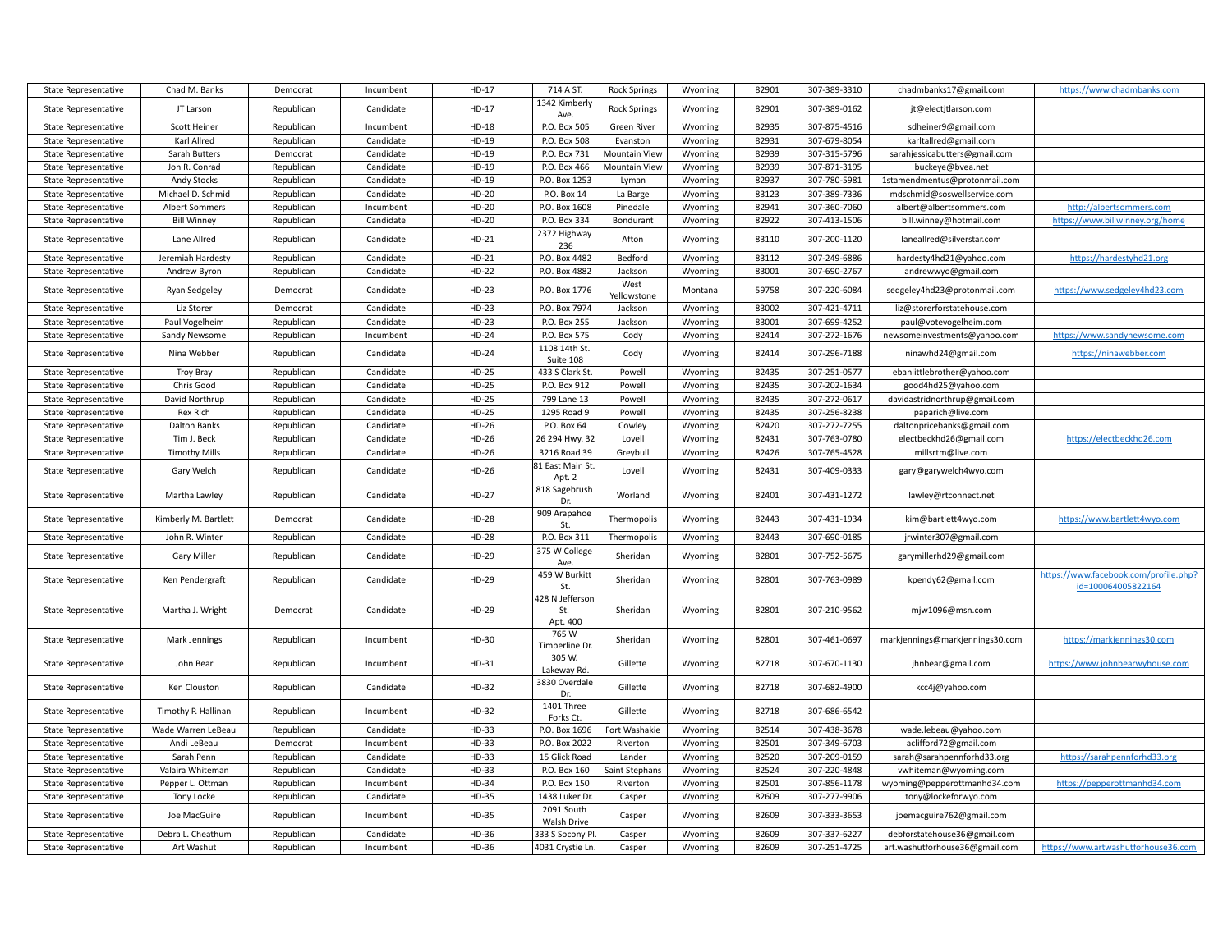| <b>State Representative</b> | Chad M. Banks         | Democrat   | Incumbent | HD-17   | 714 A ST.                  | <b>Rock Springs</b>  | Wyoming | 82901 | 307-389-3310 | chadmbanks17@gmail.com          | https://www.chadmbanks.com                                  |
|-----------------------------|-----------------------|------------|-----------|---------|----------------------------|----------------------|---------|-------|--------------|---------------------------------|-------------------------------------------------------------|
| <b>State Representative</b> | JT Larson             | Republican | Candidate | HD-17   | 1342 Kimberly<br>Ave.      | <b>Rock Springs</b>  | Wyoming | 82901 | 307-389-0162 | jt@electjtlarson.com            |                                                             |
| <b>State Representative</b> | Scott Heiner          | Republican | Incumbent | $HD-18$ | P.O. Box 505               | <b>Green River</b>   | Wyoming | 82935 | 307-875-4516 | sdheiner9@gmail.com             |                                                             |
| State Representative        | Karl Allred           | Republican | Candidate | $HD-19$ | P.O. Box 508               | Evanston             | Wyoming | 82931 | 307-679-8054 | karltallred@gmail.com           |                                                             |
| <b>State Representative</b> | Sarah Butters         | Democrat   | Candidate | HD-19   | P.O. Box 731               | <b>Mountain View</b> | Wyoming | 82939 | 307-315-5796 | sarahjessicabutters@gmail.com   |                                                             |
| <b>State Representative</b> | Jon R. Conrad         | Republican | Candidate | HD-19   | P.O. Box 466               | <b>Mountain View</b> | Wyoming | 82939 | 307-871-3195 | buckeye@bvea.net                |                                                             |
| State Representative        | <b>Andy Stocks</b>    | Republican | Candidate | HD-19   | P.O. Box 1253              | Lyman                | Wyoming | 82937 | 307-780-5981 | 1stamendmentus@protonmail.com   |                                                             |
| <b>State Representative</b> | Michael D. Schmid     | Republican | Candidate | HD-20   | P.O. Box 14                | La Barge             | Wyoming | 83123 | 307-389-7336 | mdschmid@soswellservice.com     |                                                             |
| State Representative        | <b>Albert Sommers</b> | Republican | Incumbent | HD-20   | P.O. Box 1608              | Pinedale             | Wyoming | 82941 | 307-360-7060 | albert@albertsommers.com        | http://albertsommers.com                                    |
| State Representative        | <b>Bill Winney</b>    | Republican | Candidate | HD-20   | P.O. Box 334               | Bondurant            | Wyoming | 82922 | 307-413-1506 | bill.winney@hotmail.com         | https://www.billwinney.org/home                             |
| State Representative        | Lane Allred           | Republican | Candidate | HD-21   | 2372 Highway<br>236        | Afton                | Wyoming | 83110 | 307-200-1120 | laneallred@silverstar.com       |                                                             |
| State Representative        | Jeremiah Hardesty     | Republican | Candidate | $HD-21$ | P.O. Box 4482              | Bedford              | Wyoming | 83112 | 307-249-6886 | hardesty4hd21@yahoo.com         | https://hardestyhd21.org                                    |
| <b>State Representative</b> | Andrew Byron          | Republican | Candidate | HD-22   | P.O. Box 4882              | Jackson              | Wyoming | 83001 | 307-690-2767 | andrewwyo@gmail.com             |                                                             |
|                             |                       |            |           |         |                            | West                 |         |       |              |                                 |                                                             |
| State Representative        | Ryan Sedgeley         | Democrat   | Candidate | $HD-23$ | P.O. Box 1776              | Yellowstone          | Montana | 59758 | 307-220-6084 | sedgeley4hd23@protonmail.com    | https://www.sedgeley4hd23.com                               |
| State Representative        | Liz Storer            | Democrat   | Candidate | $HD-23$ | P.O. Box 7974              | Jackson              | Wyoming | 83002 | 307-421-4711 | liz@storerforstatehouse.com     |                                                             |
| State Representative        | Paul Vogelheim        | Republican | Candidate | HD-23   | P.O. Box 255               | Jackson              | Wyoming | 83001 | 307-699-4252 | paul@votevogelheim.com          |                                                             |
| State Representative        | Sandy Newsome         | Republican | Incumbent | HD-24   | P.O. Box 575               | Cody                 | Wyoming | 82414 | 307-272-1676 | newsomeinvestments@yahoo.com    | https://www.sandynewsome.com                                |
| State Representative        | Nina Webber           | Republican | Candidate | HD-24   | 1108 14th St.<br>Suite 108 | Cody                 | Wyoming | 82414 | 307-296-7188 | ninawhd24@gmail.com             | https://ninawebber.com                                      |
| State Representative        | <b>Troy Bray</b>      | Republican | Candidate | HD-25   | 433 S Clark St.            | Powell               | Wyoming | 82435 | 307-251-0577 | ebanlittlebrother@yahoo.com     |                                                             |
| <b>State Representative</b> | Chris Good            | Republican | Candidate | HD-25   | P.O. Box 912               | Powell               | Wyoming | 82435 | 307-202-1634 | good4hd25@yahoo.com             |                                                             |
| <b>State Representative</b> | David Northrup        | Republican | Candidate | HD-25   | 799 Lane 13                | Powell               | Wyoming | 82435 | 307-272-0617 | davidastridnorthrup@gmail.com   |                                                             |
| State Representative        | Rex Rich              | Republican | Candidate | HD-25   | 1295 Road 9                | Powell               | Wyoming | 82435 | 307-256-8238 | paparich@live.com               |                                                             |
| <b>State Representative</b> | Dalton Banks          | Republican | Candidate | HD-26   | P.O. Box 64                | Cowley               | Wyoming | 82420 | 307-272-7255 | daltonpricebanks@gmail.com      |                                                             |
| <b>State Representative</b> | Tim J. Beck           | Republican | Candidate | HD-26   | 26 294 Hwy. 32             | Lovell               | Wyoming | 82431 | 307-763-0780 | electbeckhd26@gmail.com         | https://electbeckhd26.com                                   |
| <b>State Representative</b> | <b>Timothy Mills</b>  | Republican | Candidate | HD-26   | 3216 Road 39               | Greybull             | Wyoming | 82426 | 307-765-4528 | millsrtm@live.com               |                                                             |
| <b>State Representative</b> | Gary Welch            | Republican | Candidate | HD-26   | 81 East Main St.<br>Apt. 2 | Lovell               | Wyoming | 82431 | 307-409-0333 | gary@garywelch4wyo.com          |                                                             |
| State Representative        | Martha Lawley         | Republican | Candidate | HD-27   | 818 Sagebrush<br>Dr.       | Worland              | Wyoming | 82401 | 307-431-1272 | lawley@rtconnect.net            |                                                             |
| State Representative        | Kimberly M. Bartlett  | Democrat   | Candidate | HD-28   | 909 Arapahoe<br>St         | Thermopolis          | Wyoming | 82443 | 307-431-1934 | kim@bartlett4wyo.com            | https://www.bartlett4wyo.com                                |
| State Representative        | John R. Winter        | Republican | Candidate | HD-28   | P.O. Box 311               | Thermopolis          | Wyoming | 82443 | 307-690-0185 | jrwinter307@gmail.com           |                                                             |
|                             |                       |            |           |         | 375 W College              |                      |         |       |              |                                 |                                                             |
| <b>State Representative</b> | Gary Miller           | Republican | Candidate | HD-29   | Ave.                       | Sheridan             | Wyoming | 82801 | 307-752-5675 | garymillerhd29@gmail.com        |                                                             |
| State Representative        | Ken Pendergraft       | Republican | Candidate | HD-29   | 459 W Burkitt<br>St.       | Sheridan             | Wyoming | 82801 | 307-763-0989 | kpendy62@gmail.com              | https://www.facebook.com/profile.php?<br>id=100064005822164 |
| State Representative        | Martha J. Wright      | Democrat   | Candidate | HD-29   | 428 N Jefferson<br>St.     | Sheridan             | Wyoming | 82801 | 307-210-9562 | mjw1096@msn.com                 |                                                             |
|                             |                       |            |           |         | Apt. 400                   |                      |         |       |              |                                 |                                                             |
| <b>State Representative</b> | Mark Jennings         | Republican | Incumbent | HD-30   | 765 W<br>Timberline Dr.    | Sheridan             | Wyoming | 82801 | 307-461-0697 | markjennings@markjennings30.com | https://markjennings30.com                                  |
| <b>State Representative</b> | John Bear             | Republican | Incumbent | HD-31   | 305 W.<br>Lakeway Rd.      | Gillette             | Wyoming | 82718 | 307-670-1130 | jhnbear@gmail.com               | https://www.johnbearwyhouse.com                             |
| State Representative        | Ken Clouston          | Republican | Candidate | HD-32   | 3830 Overdale<br>Dr.       | Gillette             | Wyoming | 82718 | 307-682-4900 | kcc4j@yahoo.com                 |                                                             |
| State Representative        | Timothy P. Hallinan   | Republican | Incumbent | HD-32   | 1401 Three<br>Forks Ct.    | Gillette             | Wyoming | 82718 | 307-686-6542 |                                 |                                                             |
| <b>State Representative</b> | Wade Warren LeBeau    | Republican | Candidate | HD-33   | P.O. Box 1696              | Fort Washakie        | Wyoming | 82514 | 307-438-3678 | wade.lebeau@yahoo.com           |                                                             |
| State Representative        | Andi LeBeau           | Democrat   | Incumbent | HD-33   | P.O. Box 2022              | Riverton             | Wyoming | 82501 | 307-349-6703 | aclifford72@gmail.com           |                                                             |
| State Representative        | Sarah Penn            | Republican | Candidate | HD-33   | 15 Glick Road              | Lander               | Wyoming | 82520 | 307-209-0159 | sarah@sarahpennforhd33.org      | https://sarahpennforhd33.org                                |
| State Representative        | Valaira Whiteman      | Republican | Candidate | HD-33   | P.O. Box 160               | Saint Stephans       | Wyoming | 82524 | 307-220-4848 | vwhiteman@wyoming.com           |                                                             |
| <b>State Representative</b> | Pepper L. Ottman      | Republican | Incumbent | HD-34   | P.O. Box 150               | Riverton             | Wyoming | 82501 | 307-856-1178 | wyoming@pepperottmanhd34.com    | https://pepperottmanhd34.com                                |
| <b>State Representative</b> | Tony Locke            | Republican | Candidate | HD-35   | 1438 Luker Dr.             | Casper               | Wyoming | 82609 | 307-277-9906 | tony@lockeforwyo.com            |                                                             |
|                             |                       |            |           |         | 2091 South                 |                      |         |       |              |                                 |                                                             |
| <b>State Representative</b> | Joe MacGuire          | Republican | Incumbent | HD-35   | Walsh Drive                | Casper               | Wyoming | 82609 | 307-333-3653 | joemacguire762@gmail.com        |                                                             |
| State Representative        | Debra L. Cheathum     | Republican | Candidate | HD-36   | 333 S Socony Pl.           | Casper               | Wyoming | 82609 | 307-337-6227 | debforstatehouse36@gmail.com    |                                                             |
| <b>State Representative</b> | Art Washut            | Republican | Incumbent | HD-36   | 4031 Crystie Ln.           | Casper               | Wyoming | 82609 | 307-251-4725 | art.washutforhouse36@gmail.com  | https://www.artwashutforhouse36.com                         |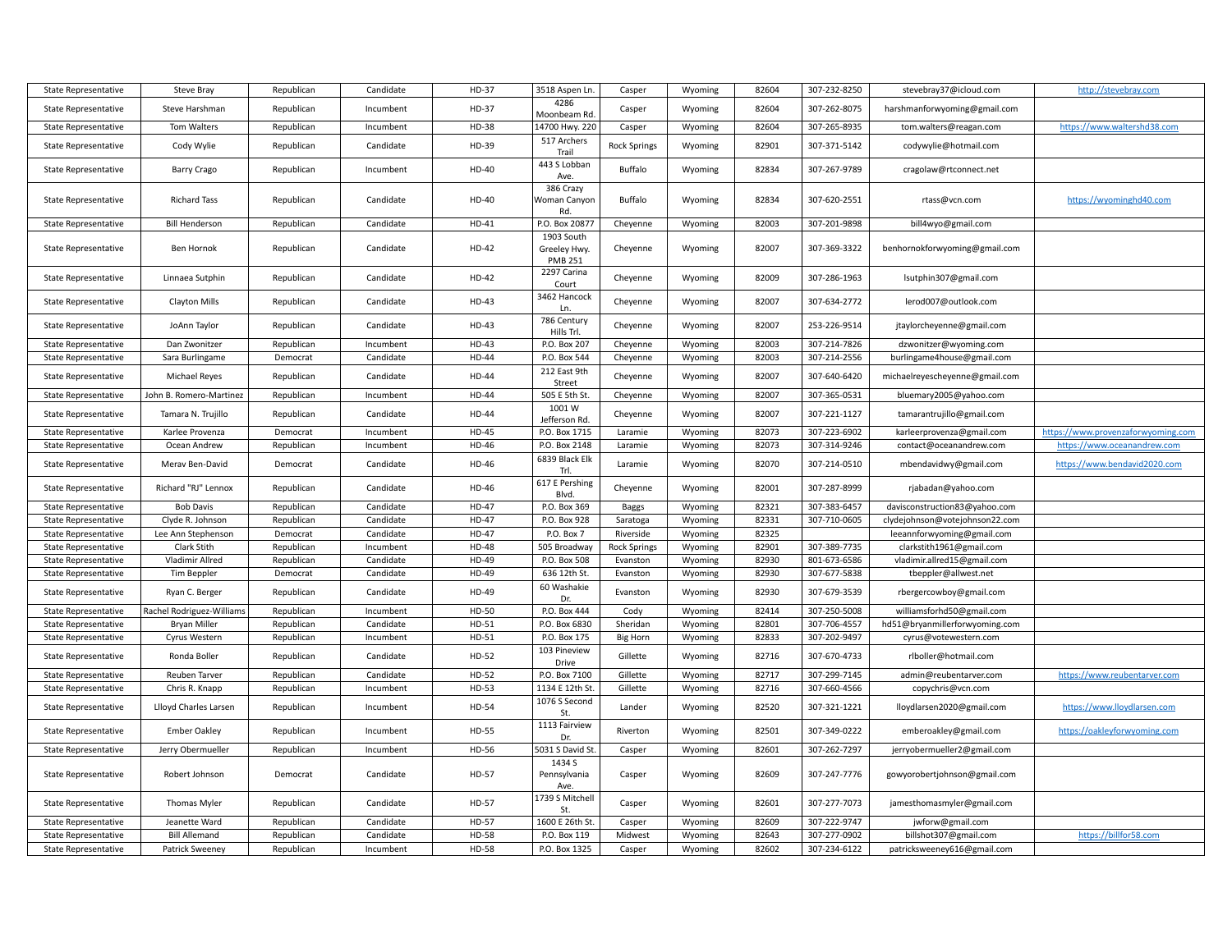| <b>State Representative</b> | <b>Steve Bray</b>         | Republican | Candidate | HD-37        | 3518 Aspen Ln.                               | Casper              | Wyoming | 82604 | 307-232-8250 | stevebray37@icloud.com         | http://stevebray.com               |
|-----------------------------|---------------------------|------------|-----------|--------------|----------------------------------------------|---------------------|---------|-------|--------------|--------------------------------|------------------------------------|
| <b>State Representative</b> | Steve Harshman            | Republican | Incumbent | HD-37        | 4286<br>Moonbeam Rd.                         | Casper              | Wyoming | 82604 | 307-262-8075 | harshmanforwyoming@gmail.com   |                                    |
| <b>State Representative</b> | Tom Walters               | Republican | Incumbent | HD-38        | 14700 Hwy. 220                               | Casper              | Wyoming | 82604 | 307-265-8935 | tom.walters@reagan.com         | https://www.waltershd38.com        |
| <b>State Representative</b> | Cody Wylie                | Republican | Candidate | HD-39        | 517 Archers<br>Trail                         | <b>Rock Springs</b> | Wyoming | 82901 | 307-371-5142 | codywylie@hotmail.com          |                                    |
| <b>State Representative</b> | <b>Barry Crago</b>        | Republican | Incumbent | HD-40        | 443 S Lobban<br>Ave.                         | Buffalo             | Wyoming | 82834 | 307-267-9789 | cragolaw@rtconnect.net         |                                    |
| <b>State Representative</b> | <b>Richard Tass</b>       | Republican | Candidate | HD-40        | 386 Crazy<br>Woman Canyon<br>Rd.             | Buffalo             | Wyoming | 82834 | 307-620-2551 | rtass@vcn.com                  | https://wyominghd40.com            |
| <b>State Representative</b> | <b>Bill Henderson</b>     | Republican | Candidate | $HD-41$      | P.O. Box 20877                               | Cheyenne            | Wyoming | 82003 | 307-201-9898 | bill4wyo@gmail.com             |                                    |
| <b>State Representative</b> | Ben Hornok                | Republican | Candidate | HD-42        | 1903 South<br>Greeley Hwy.<br><b>PMB 251</b> | Cheyenne            | Wyoming | 82007 | 307-369-3322 | benhornokforwyoming@gmail.com  |                                    |
| <b>State Representative</b> | Linnaea Sutphin           | Republican | Candidate | HD-42        | 2297 Carina<br>Court                         | Cheyenne            | Wyoming | 82009 | 307-286-1963 | lsutphin307@gmail.com          |                                    |
| <b>State Representative</b> | Clayton Mills             | Republican | Candidate | HD-43        | 3462 Hancock<br>Ln.                          | Cheyenne            | Wyoming | 82007 | 307-634-2772 | lerod007@outlook.com           |                                    |
| <b>State Representative</b> | JoAnn Taylor              | Republican | Candidate | HD-43        | 786 Century<br>Hills Trl.                    | Cheyenne            | Wyoming | 82007 | 253-226-9514 | jtaylorcheyenne@gmail.com      |                                    |
| <b>State Representative</b> | Dan Zwonitzer             | Republican | Incumbent | HD-43        | P.O. Box 207                                 | Cheyenne            | Wyoming | 82003 | 307-214-7826 | dzwonitzer@wyoming.com         |                                    |
| <b>State Representative</b> | Sara Burlingame           | Democrat   | Candidate | <b>HD-44</b> | P.O. Box 544                                 | Cheyenne            | Wyoming | 82003 | 307-214-2556 | burlingame4house@gmail.com     |                                    |
| <b>State Representative</b> | Michael Reyes             | Republican | Candidate | HD-44        | 212 East 9th<br>Street                       | Cheyenne            | Wyoming | 82007 | 307-640-6420 | michaelreyescheyenne@gmail.com |                                    |
| <b>State Representative</b> | John B. Romero-Martinez   | Republican | Incumbent | HD-44        | 505 E 5th St.                                | Cheyenne            | Wyoming | 82007 | 307-365-0531 | bluemary2005@yahoo.com         |                                    |
| <b>State Representative</b> | Tamara N. Trujillo        | Republican | Candidate | HD-44        | 1001W<br>Jefferson Rd.                       | Cheyenne            | Wyoming | 82007 | 307-221-1127 | tamarantrujillo@gmail.com      |                                    |
| <b>State Representative</b> | Karlee Provenza           | Democrat   | Incumbent | HD-45        | P.O. Box 1715                                | Laramie             | Wyoming | 82073 | 307-223-6902 | karleerprovenza@gmail.com      | https://www.provenzaforwyoming.com |
| <b>State Representative</b> | Ocean Andrew              | Republican | Incumbent | HD-46        | P.O. Box 2148                                | Laramie             | Wyoming | 82073 | 307-314-9246 | contact@oceanandrew.com        | https://www.oceanandrew.com        |
| <b>State Representative</b> | Merav Ben-David           | Democrat   | Candidate | HD-46        | 6839 Black Elk<br>Trl.                       | Laramie             | Wyoming | 82070 | 307-214-0510 | mbendavidwy@gmail.com          | https://www.bendavid2020.com       |
| <b>State Representative</b> | Richard "RJ" Lennox       | Republican | Candidate | HD-46        | 617 E Pershing<br>Blvd.                      | Cheyenne            | Wyoming | 82001 | 307-287-8999 | rjabadan@yahoo.com             |                                    |
| <b>State Representative</b> | <b>Bob Davis</b>          | Republican | Candidate | <b>HD-47</b> | P.O. Box 369                                 | Baggs               | Wyoming | 82321 | 307-383-6457 | davisconstruction83@yahoo.com  |                                    |
| <b>State Representative</b> | Clyde R. Johnson          | Republican | Candidate | <b>HD-47</b> | P.O. Box 928                                 | Saratoga            | Wyoming | 82331 | 307-710-0605 | clydejohnson@votejohnson22.com |                                    |
| <b>State Representative</b> | Lee Ann Stephenson        | Democrat   | Candidate | HD-47        | P.O. Box 7                                   | Riverside           | Wyoming | 82325 |              | leeannforwyoming@gmail.com     |                                    |
| <b>State Representative</b> | Clark Stith               | Republican | Incumbent | <b>HD-48</b> | 505 Broadway                                 | <b>Rock Springs</b> | Wyoming | 82901 | 307-389-7735 | clarkstith1961@gmail.com       |                                    |
| <b>State Representative</b> | <b>Vladimir Allred</b>    | Republican | Candidate | HD-49        | P.O. Box 508                                 | Evanston            | Wyoming | 82930 | 801-673-6586 | vladimir.allred15@gmail.com    |                                    |
| <b>State Representative</b> | Tim Beppler               | Democrat   | Candidate | HD-49        | 636 12th St.                                 | Evanston            | Wyoming | 82930 | 307-677-5838 | tbeppler@allwest.net           |                                    |
| <b>State Representative</b> | Ryan C. Berger            | Republican | Candidate | HD-49        | 60 Washakie<br>Dr.                           | Evanston            | Wyoming | 82930 | 307-679-3539 | rbergercowboy@gmail.com        |                                    |
| <b>State Representative</b> | Rachel Rodriguez-Williams | Republican | Incumbent | HD-50        | P.O. Box 444                                 | Cody                | Wyoming | 82414 | 307-250-5008 | williamsforhd50@gmail.com      |                                    |
| <b>State Representative</b> | <b>Bryan Miller</b>       | Republican | Candidate | HD-51        | P.O. Box 6830                                | Sheridan            | Wyoming | 82801 | 307-706-4557 | hd51@bryanmillerforwyoming.com |                                    |
| <b>State Representative</b> | Cyrus Western             | Republican | Incumbent | HD-51        | P.O. Box 175                                 | <b>Big Horn</b>     | Wyoming | 82833 | 307-202-9497 | cyrus@votewestern.com          |                                    |
| <b>State Representative</b> | Ronda Boller              | Republican | Candidate | HD-52        | 103 Pineview<br>Drive                        | Gillette            | Wyoming | 82716 | 307-670-4733 | rlboller@hotmail.com           |                                    |
| <b>State Representative</b> | Reuben Tarver             | Republican | Candidate | HD-52        | P.O. Box 7100                                | Gillette            | Wyoming | 82717 | 307-299-7145 | admin@reubentarver.com         | https://www.reubentarver.com       |
| <b>State Representative</b> | Chris R. Knapp            | Republican | Incumbent | HD-53        | 1134 E 12th St                               | Gillette            | Wyoming | 82716 | 307-660-4566 | copychris@vcn.com              |                                    |
| <b>State Representative</b> | Llloyd Charles Larsen     | Republican | Incumbent | HD-54        | 1076 S Second<br>St.                         | Lander              | Wyoming | 82520 | 307-321-1221 | lloydlarsen2020@gmail.com      | https://www.lloydlarsen.com        |
| <b>State Representative</b> | <b>Ember Oakley</b>       | Republican | Incumbent | HD-55        | 1113 Fairview<br>Dr.                         | Riverton            | Wyoming | 82501 | 307-349-0222 | emberoakley@gmail.com          | https://oakleyforwyoming.com       |
| <b>State Representative</b> | Jerry Obermueller         | Republican | Incumbent | HD-56        | 5031 S David St.                             | Casper              | Wyoming | 82601 | 307-262-7297 | jerryobermueller2@gmail.com    |                                    |
| <b>State Representative</b> | Robert Johnson            | Democrat   | Candidate | HD-57        | 1434 S<br>Pennsylvania<br>Ave.               | Casper              | Wyoming | 82609 | 307-247-7776 | gowyorobertjohnson@gmail.com   |                                    |
| <b>State Representative</b> | Thomas Myler              | Republican | Candidate | HD-57        | 1739 S Mitchell<br>St.                       | Casper              | Wyoming | 82601 | 307-277-7073 | jamesthomasmyler@gmail.com     |                                    |
| <b>State Representative</b> | Jeanette Ward             | Republican | Candidate | HD-57        | 1600 E 26th St                               | Casper              | Wyoming | 82609 | 307-222-9747 | jwforw@gmail.com               |                                    |
| <b>State Representative</b> | <b>Bill Allemand</b>      | Republican | Candidate | <b>HD-58</b> | P.O. Box 119                                 | Midwest             | Wyoming | 82643 | 307-277-0902 | billshot307@gmail.com          | https://billfor58.com              |
| <b>State Representative</b> | Patrick Sweeney           | Republican | Incumbent | <b>HD-58</b> | P.O. Box 1325                                | Casper              | Wyoming | 82602 | 307-234-6122 | patricksweeney616@gmail.com    |                                    |
|                             |                           |            |           |              |                                              |                     |         |       |              |                                |                                    |